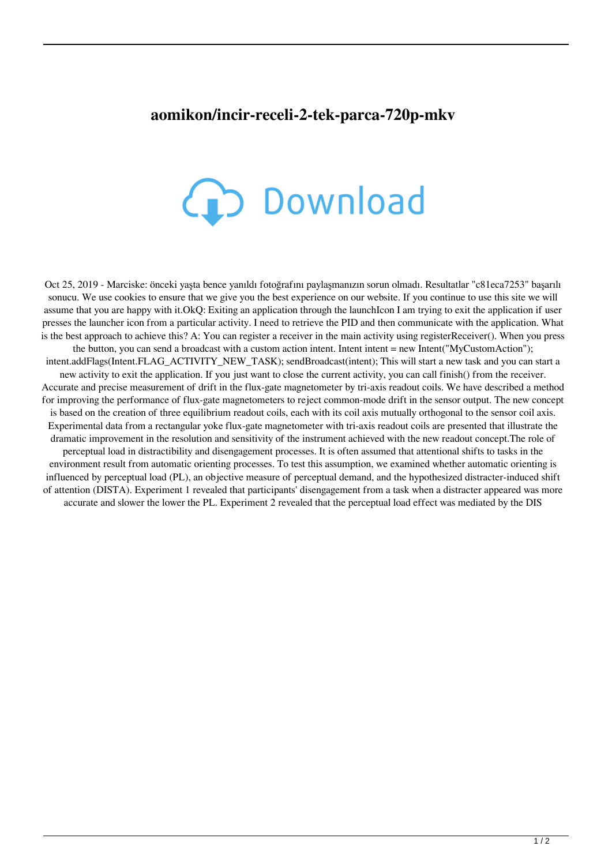## **aomikon/incir-receli-2-tek-parca-720p-mkv**



Oct 25, 2019 - Marciske: önceki yaşta bence yanıldı fotoğrafını paylaşmanızın sorun olmadı. Resultatlar "c81eca7253" başarılı sonucu. We use cookies to ensure that we give you the best experience on our website. If you continue to use this site we will assume that you are happy with it.OkQ: Exiting an application through the launchIcon I am trying to exit the application if user presses the launcher icon from a particular activity. I need to retrieve the PID and then communicate with the application. What is the best approach to achieve this? A: You can register a receiver in the main activity using registerReceiver(). When you press the button, you can send a broadcast with a custom action intent. Intent intent = new Intent("MyCustomAction"); intent.addFlags(Intent.FLAG\_ACTIVITY\_NEW\_TASK); sendBroadcast(intent); This will start a new task and you can start a new activity to exit the application. If you just want to close the current activity, you can call finish() from the receiver. Accurate and precise measurement of drift in the flux-gate magnetometer by tri-axis readout coils. We have described a method for improving the performance of flux-gate magnetometers to reject common-mode drift in the sensor output. The new concept is based on the creation of three equilibrium readout coils, each with its coil axis mutually orthogonal to the sensor coil axis. Experimental data from a rectangular yoke flux-gate magnetometer with tri-axis readout coils are presented that illustrate the dramatic improvement in the resolution and sensitivity of the instrument achieved with the new readout concept.The role of perceptual load in distractibility and disengagement processes. It is often assumed that attentional shifts to tasks in the environment result from automatic orienting processes. To test this assumption, we examined whether automatic orienting is influenced by perceptual load (PL), an objective measure of perceptual demand, and the hypothesized distracter-induced shift of attention (DISTA). Experiment 1 revealed that participants' disengagement from a task when a distracter appeared was more accurate and slower the lower the PL. Experiment 2 revealed that the perceptual load effect was mediated by the DIS